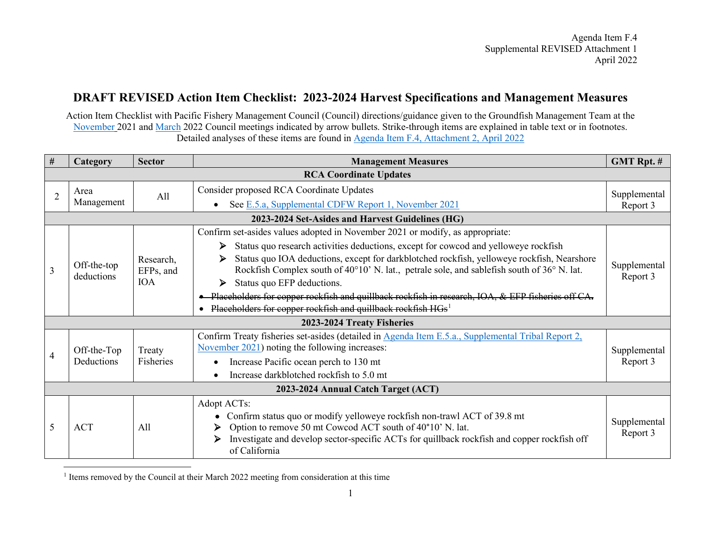## <span id="page-0-0"></span>**DRAFT REVISED Action Item Checklist: 2023-2024 Harvest Specifications and Management Measures**

Action Item Checklist with Pacific Fishery Management Council (Council) directions/guidance given to the Groundfish Management Team at the [November](https://www.pcouncil.org/documents/2021/11/e-5-motion-in-writing-november-2021.pdf/) 2021 and [March](https://www.pcouncil.org/march-2022-decision-summary-document/#groundfish-management-toc-7bdc2051-895a-4a25-a546-5184fe1abe91) 2022 Council meetings indicated by arrow bullets. Strike-through items are explained in table text or in footnotes. Detailed analyses of these items are found in [Agenda Item F.4, Attachment 2, April 2022](https://www.pcouncil.org/documents/2022/03/f-4-attachment-2-2023-2024-management-measure-analytical-document-electronic-only.pdf/)

| #                                   | <b>Category</b>               | <b>Sector</b>                        | <b>Management Measures</b>                                                                                                                                                                    | <b>GMT Rpt. #</b>        |  |
|-------------------------------------|-------------------------------|--------------------------------------|-----------------------------------------------------------------------------------------------------------------------------------------------------------------------------------------------|--------------------------|--|
|                                     | <b>RCA Coordinate Updates</b> |                                      |                                                                                                                                                                                               |                          |  |
| $\overline{2}$                      | Area<br>Management            | All                                  | Consider proposed RCA Coordinate Updates                                                                                                                                                      | Supplemental             |  |
|                                     |                               |                                      | See E.5.a, Supplemental CDFW Report 1, November 2021                                                                                                                                          | Report 3                 |  |
|                                     |                               |                                      | 2023-2024 Set-Asides and Harvest Guidelines (HG)                                                                                                                                              |                          |  |
| 3                                   | Off-the-top<br>deductions     | Research,<br>EFPs, and<br><b>IOA</b> | Confirm set-asides values adopted in November 2021 or modify, as appropriate:                                                                                                                 |                          |  |
|                                     |                               |                                      | Status quo research activities deductions, except for cowcod and yelloweye rockfish<br>⋗                                                                                                      | Supplemental<br>Report 3 |  |
|                                     |                               |                                      | Status quo IOA deductions, except for darkblotched rockfish, yelloweye rockfish, Nearshore<br>➤<br>Rockfish Complex south of 40°10' N. lat., petrale sole, and sablefish south of 36° N. lat. |                          |  |
|                                     |                               |                                      | Status quo EFP deductions.<br>➤                                                                                                                                                               |                          |  |
|                                     |                               |                                      | • Placeholders for copper rockfish and quillback rockfish in research, IOA, & EFP fisheries off CA.                                                                                           |                          |  |
|                                     |                               |                                      | Placeholders for copper rockfish and quillback rockfish HGs <sup>1</sup>                                                                                                                      |                          |  |
| 2023-2024 Treaty Fisheries          |                               |                                      |                                                                                                                                                                                               |                          |  |
|                                     | Off-the-Top<br>Deductions     | Treaty<br>Fisheries                  | Confirm Treaty fisheries set-asides (detailed in Agenda Item E.5.a., Supplemental Tribal Report 2,                                                                                            |                          |  |
| 4                                   |                               |                                      | November 2021) noting the following increases:                                                                                                                                                | Supplemental<br>Report 3 |  |
|                                     |                               |                                      | Increase Pacific ocean perch to 130 mt                                                                                                                                                        |                          |  |
|                                     |                               |                                      | Increase darkblotched rockfish to 5.0 mt                                                                                                                                                      |                          |  |
| 2023-2024 Annual Catch Target (ACT) |                               |                                      |                                                                                                                                                                                               |                          |  |
| 5                                   | <b>ACT</b>                    | All                                  | Adopt ACTs:                                                                                                                                                                                   |                          |  |
|                                     |                               |                                      | Confirm status quo or modify yelloweye rockfish non-trawl ACT of 39.8 mt                                                                                                                      | Supplemental             |  |
|                                     |                               |                                      | Option to remove 50 mt Cowcod ACT south of 40°10' N. lat.                                                                                                                                     | Report 3                 |  |
|                                     |                               |                                      | Investigate and develop sector-specific ACTs for quillback rockfish and copper rockfish off<br>➤<br>of California                                                                             |                          |  |

<sup>1</sup> Items removed by the Council at their March 2022 meeting from consideration at this time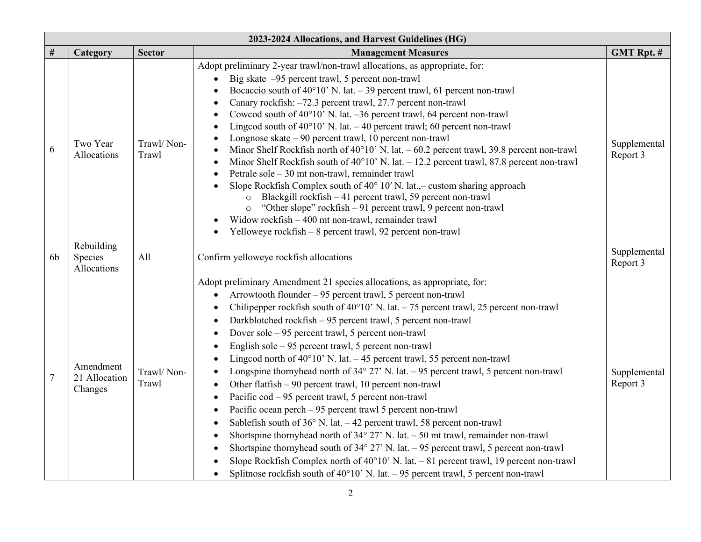| 2023-2024 Allocations, and Harvest Guidelines (HG) |                                       |                     |                                                                                                                                                                                                                                                                                                                                                                                                                                                                                                                                                                                                                                                                                                                                                                                                                                                                                                                                                                                                                                                                                                                                                                                                                                                                                                                                                            |                          |
|----------------------------------------------------|---------------------------------------|---------------------|------------------------------------------------------------------------------------------------------------------------------------------------------------------------------------------------------------------------------------------------------------------------------------------------------------------------------------------------------------------------------------------------------------------------------------------------------------------------------------------------------------------------------------------------------------------------------------------------------------------------------------------------------------------------------------------------------------------------------------------------------------------------------------------------------------------------------------------------------------------------------------------------------------------------------------------------------------------------------------------------------------------------------------------------------------------------------------------------------------------------------------------------------------------------------------------------------------------------------------------------------------------------------------------------------------------------------------------------------------|--------------------------|
| $\#$                                               | Category                              | <b>Sector</b>       | <b>Management Measures</b>                                                                                                                                                                                                                                                                                                                                                                                                                                                                                                                                                                                                                                                                                                                                                                                                                                                                                                                                                                                                                                                                                                                                                                                                                                                                                                                                 | <b>GMT Rpt. #</b>        |
| 6                                                  | Two Year<br>Allocations               | Trawl/Non-<br>Trawl | Adopt preliminary 2-year trawl/non-trawl allocations, as appropriate, for:<br>Big skate -95 percent trawl, 5 percent non-trawl<br>Bocaccio south of $40^{\circ}10'$ N. lat. - 39 percent trawl, 61 percent non-trawl<br>Canary rockfish: -72.3 percent trawl, 27.7 percent non-trawl<br>Cowcod south of 40°10' N. lat. -36 percent trawl, 64 percent non-trawl<br>Lingcod south of $40^{\circ}10'$ N. lat. $-40$ percent trawl; 60 percent non-trawl<br>$\bullet$<br>Longnose skate $-90$ percent trawl, 10 percent non-trawl<br>Minor Shelf Rockfish north of $40^{\circ}10'$ N. lat. $-60.2$ percent trawl, 39.8 percent non-trawl<br>$\bullet$<br>Minor Shelf Rockfish south of $40^{\circ}10'$ N. lat. $-12.2$ percent trawl, 87.8 percent non-trawl<br>$\bullet$<br>Petrale sole – 30 mt non-trawl, remainder trawl<br>Slope Rockfish Complex south of $40^{\circ}$ 10' N. lat.,- custom sharing approach<br>Blackgill rockfish - 41 percent trawl, 59 percent non-trawl<br>$\circ$<br>"Other slope" rockfish - 91 percent trawl, 9 percent non-trawl<br>Widow rockfish - 400 mt non-trawl, remainder trawl<br>Yelloweye rockfish - 8 percent trawl, 92 percent non-trawl                                                                                                                                                                             | Supplemental<br>Report 3 |
| 6b                                                 | Rebuilding<br>Species<br>Allocations  | All                 | Confirm yelloweye rockfish allocations                                                                                                                                                                                                                                                                                                                                                                                                                                                                                                                                                                                                                                                                                                                                                                                                                                                                                                                                                                                                                                                                                                                                                                                                                                                                                                                     | Supplemental<br>Report 3 |
| $\overline{7}$                                     | Amendment<br>21 Allocation<br>Changes | Trawl/Non-<br>Trawl | Adopt preliminary Amendment 21 species allocations, as appropriate, for:<br>Arrowtooth flounder - 95 percent trawl, 5 percent non-trawl<br>Chilipepper rockfish south of $40^{\circ}10'$ N. lat. $-75$ percent trawl, 25 percent non-trawl<br>Darkblotched rockfish - 95 percent trawl, 5 percent non-trawl<br>Dover sole – 95 percent trawl, 5 percent non-trawl<br>$\bullet$<br>English sole - 95 percent trawl, 5 percent non-trawl<br>$\bullet$<br>Lingcod north of 40°10' N. lat. - 45 percent trawl, 55 percent non-trawl<br>$\bullet$<br>Longspine thornyhead north of $34^{\circ}$ 27' N. lat. - 95 percent trawl, 5 percent non-trawl<br>Other flatfish - 90 percent trawl, 10 percent non-trawl<br>Pacific cod - 95 percent trawl, 5 percent non-trawl<br>$\bullet$<br>Pacific ocean perch - 95 percent trawl 5 percent non-trawl<br>$\bullet$<br>Sablefish south of 36° N. lat. - 42 percent trawl, 58 percent non-trawl<br>$\bullet$<br>Shortspine thornyhead north of $34^{\circ}$ 27' N. lat. $-50$ mt trawl, remainder non-trawl<br>Shortspine thornyhead south of $34^{\circ}$ 27' N. lat. - 95 percent trawl, 5 percent non-trawl<br>$\bullet$<br>Slope Rockfish Complex north of 40°10' N. lat. - 81 percent trawl, 19 percent non-trawl<br>Splitnose rockfish south of $40^{\circ}10'$ N. lat. $-95$ percent trawl, 5 percent non-trawl | Supplemental<br>Report 3 |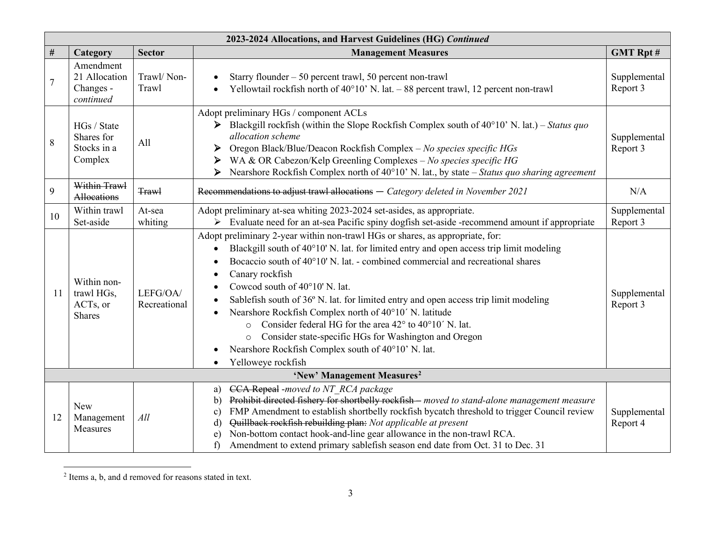<span id="page-2-0"></span>

|                | 2023-2024 Allocations, and Harvest Guidelines (HG) Continued |                          |                                                                                                                                                                                                                                                                                                                                                                                                                                                                                                                                                                                                                                                                                                                                                                                                         |                          |
|----------------|--------------------------------------------------------------|--------------------------|---------------------------------------------------------------------------------------------------------------------------------------------------------------------------------------------------------------------------------------------------------------------------------------------------------------------------------------------------------------------------------------------------------------------------------------------------------------------------------------------------------------------------------------------------------------------------------------------------------------------------------------------------------------------------------------------------------------------------------------------------------------------------------------------------------|--------------------------|
| #              | Category                                                     | <b>Sector</b>            | <b>Management Measures</b>                                                                                                                                                                                                                                                                                                                                                                                                                                                                                                                                                                                                                                                                                                                                                                              | <b>GMT Rpt#</b>          |
| $\overline{7}$ | Amendment<br>21 Allocation<br>Changes -<br>continued         | Trawl/Non-<br>Trawl      | Starry flounder $-50$ percent trawl, 50 percent non-trawl<br>Yellowtail rockfish north of $40^{\circ}10'$ N. lat. $-88$ percent trawl, 12 percent non-trawl<br>$\bullet$                                                                                                                                                                                                                                                                                                                                                                                                                                                                                                                                                                                                                                | Supplemental<br>Report 3 |
| 8              | HGs / State<br>Shares for<br>Stocks in a<br>Complex          | A11                      | Adopt preliminary HGs / component ACLs<br>$\triangleright$ Blackgill rockfish (within the Slope Rockfish Complex south of 40°10' N. lat.) – Status quo<br>allocation scheme<br>Oregon Black/Blue/Deacon Rockfish Complex - No species specific HGs<br>➤<br>WA & OR Cabezon/Kelp Greenling Complexes - No species specific HG<br>≻<br>Nearshore Rockfish Complex north of $40^{\circ}10'$ N. lat., by state – Status quo sharing agreement<br>➤                                                                                                                                                                                                                                                                                                                                                          | Supplemental<br>Report 3 |
| 9              | Within Trawl<br>Allocations                                  | <b>Trawl</b>             | Recommendations to adjust trawl allocations - Category deleted in November 2021                                                                                                                                                                                                                                                                                                                                                                                                                                                                                                                                                                                                                                                                                                                         | N/A                      |
| 10             | Within trawl<br>Set-aside                                    | At-sea<br>whiting        | Adopt preliminary at-sea whiting 2023-2024 set-asides, as appropriate.<br>> Evaluate need for an at-sea Pacific spiny dogfish set-aside -recommend amount if appropriate                                                                                                                                                                                                                                                                                                                                                                                                                                                                                                                                                                                                                                | Supplemental<br>Report 3 |
| 11             | Within non-<br>trawl HGs,<br>ACTs, or<br><b>Shares</b>       | LEFG/OA/<br>Recreational | Adopt preliminary 2-year within non-trawl HGs or shares, as appropriate, for:<br>Blackgill south of 40°10' N. lat. for limited entry and open access trip limit modeling<br>$\bullet$<br>Bocaccio south of 40°10' N. lat. - combined commercial and recreational shares<br>$\bullet$<br>Canary rockfish<br>$\bullet$<br>Cowcod south of $40^{\circ}10'$ N. lat.<br>$\bullet$<br>Sablefish south of 36° N. lat. for limited entry and open access trip limit modeling<br>$\bullet$<br>Nearshore Rockfish Complex north of 40°10' N. latitude<br>$\bullet$<br>Consider federal HG for the area 42° to 40°10' N. lat.<br>$\circ$<br>Consider state-specific HGs for Washington and Oregon<br>$\circ$<br>Nearshore Rockfish Complex south of 40°10' N. lat.<br>$\bullet$<br>Yelloweye rockfish<br>$\bullet$ | Supplemental<br>Report 3 |
|                |                                                              |                          | 'New' Management Measures <sup>2</sup>                                                                                                                                                                                                                                                                                                                                                                                                                                                                                                                                                                                                                                                                                                                                                                  |                          |
| 12             | <b>New</b><br>Management<br>Measures                         | All                      | CCA Repeal -moved to NT RCA package<br>a)<br>Prohibit directed fishery for shortbelly rockfish - moved to stand-alone management measure<br>$\mathbf{b}$<br>FMP Amendment to establish shortbelly rockfish bycatch threshold to trigger Council review<br>$\mathbf{c}$<br>Quillback rockfish rebuilding plan: Not applicable at present<br>d)<br>Non-bottom contact hook-and-line gear allowance in the non-trawl RCA.<br>e)<br>Amendment to extend primary sablefish season end date from Oct. 31 to Dec. 31<br>f)                                                                                                                                                                                                                                                                                     | Supplemental<br>Report 4 |

<sup>2</sup> Items a, b, and d removed for reasons stated in text.